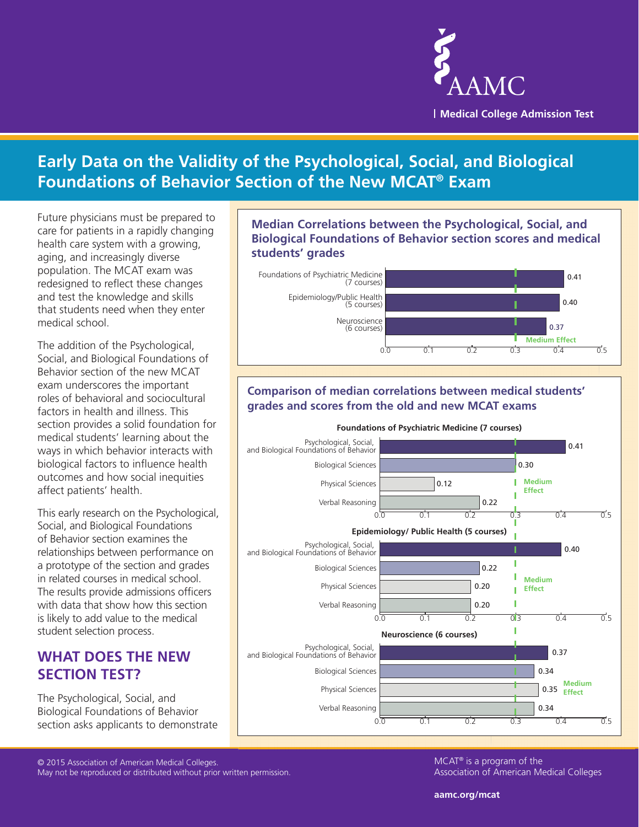

# **Early Data on the Validity of the Psychological, Social, and Biological Foundations of Behavior Section of the New MCAT® Exam**

Future physicians must be prepared to care for patients in a rapidly changing health care system with a growing, aging, and increasingly diverse population. The MCAT exam was redesigned to reflect these changes and test the knowledge and skills that students need when they enter medical school.

The addition of the Psychological, Social, and Biological Foundations of Behavior section of the new MCAT exam underscores the important roles of behavioral and sociocultural factors in health and illness. This section provides a solid foundation for medical students' learning about the ways in which behavior interacts with biological factors to influence health outcomes and how social inequities affect patients' health.

This early research on the Psychological, Social, and Biological Foundations of Behavior section examines the relationships between performance on a prototype of the section and grades in related courses in medical school. The results provide admissions officers with data that show how this section is likely to add value to the medical student selection process.

### **WHAT DOES THE NEW SECTION TEST?**

The Psychological, Social, and Biological Foundations of Behavior section asks applicants to demonstrate **Median Correlations between the Psychological, Social, and Biological Foundations of Behavior section scores and medical students' grades**



#### **Comparison of median correlations between medical students' grades and scores from the old and new MCAT exams**



© 2015 Association of American Medical Colleges. May not be reproduced or distributed without prior written permission. MCAT® is a program of the Association of American Medical Colleges

**aamc.org/mcat**